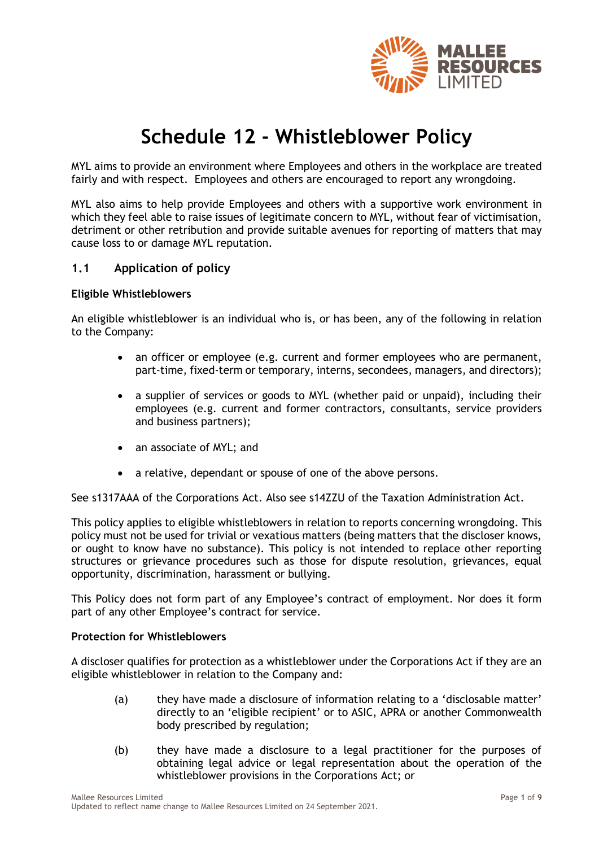

# **Schedule 12 - Whistleblower Policy**

MYL aims to provide an environment where Employees and others in the workplace are treated fairly and with respect. Employees and others are encouraged to report any wrongdoing.

MYL also aims to help provide Employees and others with a supportive work environment in which they feel able to raise issues of legitimate concern to MYL, without fear of victimisation, detriment or other retribution and provide suitable avenues for reporting of matters that may cause loss to or damage MYL reputation.

# **1.1 Application of policy**

#### **Eligible Whistleblowers**

An eligible whistleblower is an individual who is, or has been, any of the following in relation to the Company:

- an officer or employee (e.g. current and former employees who are permanent, part-time, fixed-term or temporary, interns, secondees, managers, and directors);
- a supplier of services or goods to MYL (whether paid or unpaid), including their employees (e.g. current and former contractors, consultants, service providers and business partners);
- an associate of MYL; and
- a relative, dependant or spouse of one of the above persons.

See s1317AAA of the Corporations Act. Also see s14ZZU of the Taxation Administration Act.

This policy applies to eligible whistleblowers in relation to reports concerning wrongdoing. This policy must not be used for trivial or vexatious matters (being matters that the discloser knows, or ought to know have no substance). This policy is not intended to replace other reporting structures or grievance procedures such as those for dispute resolution, grievances, equal opportunity, discrimination, harassment or bullying.

This Policy does not form part of any Employee's contract of employment. Nor does it form part of any other Employee's contract for service.

#### **Protection for Whistleblowers**

A discloser qualifies for protection as a whistleblower under the Corporations Act if they are an eligible whistleblower in relation to the Company and:

- (a) they have made a disclosure of information relating to a 'disclosable matter' directly to an 'eligible recipient' or to ASIC, APRA or another Commonwealth body prescribed by regulation;
- (b) they have made a disclosure to a legal practitioner for the purposes of obtaining legal advice or legal representation about the operation of the whistleblower provisions in the Corporations Act; or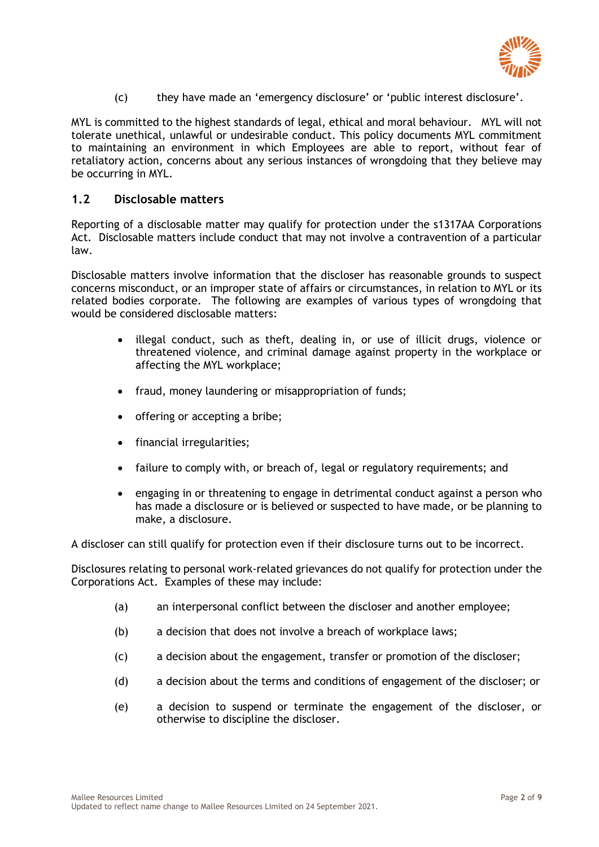

(c) they have made an 'emergency disclosure' or 'public interest disclosure'.

MYL is committed to the highest standards of legal, ethical and moral behaviour. MYL will not tolerate unethical, unlawful or undesirable conduct. This policy documents MYL commitment to maintaining an environment in which Employees are able to report, without fear of retaliatory action, concerns about any serious instances of wrongdoing that they believe may be occurring in MYL.

# **1.2 Disclosable matters**

Reporting of a disclosable matter may qualify for protection under the s1317AA Corporations Act. Disclosable matters include conduct that may not involve a contravention of a particular law.

Disclosable matters involve information that the discloser has reasonable grounds to suspect concerns misconduct, or an improper state of affairs or circumstances, in relation to MYL or its related bodies corporate. The following are examples of various types of wrongdoing that would be considered disclosable matters:

- illegal conduct, such as theft, dealing in, or use of illicit drugs, violence or threatened violence, and criminal damage against property in the workplace or affecting the MYL workplace;
- fraud, money laundering or misappropriation of funds;
- offering or accepting a bribe:
- financial irregularities;
- failure to comply with, or breach of, legal or regulatory requirements; and
- engaging in or threatening to engage in detrimental conduct against a person who has made a disclosure or is believed or suspected to have made, or be planning to make, a disclosure.

A discloser can still qualify for protection even if their disclosure turns out to be incorrect.

Disclosures relating to personal work-related grievances do not qualify for protection under the Corporations Act. Examples of these may include:

- (a) an interpersonal conflict between the discloser and another employee;
- (b) a decision that does not involve a breach of workplace laws;
- (c) a decision about the engagement, transfer or promotion of the discloser;
- (d) a decision about the terms and conditions of engagement of the discloser; or
- (e) a decision to suspend or terminate the engagement of the discloser, or otherwise to discipline the discloser.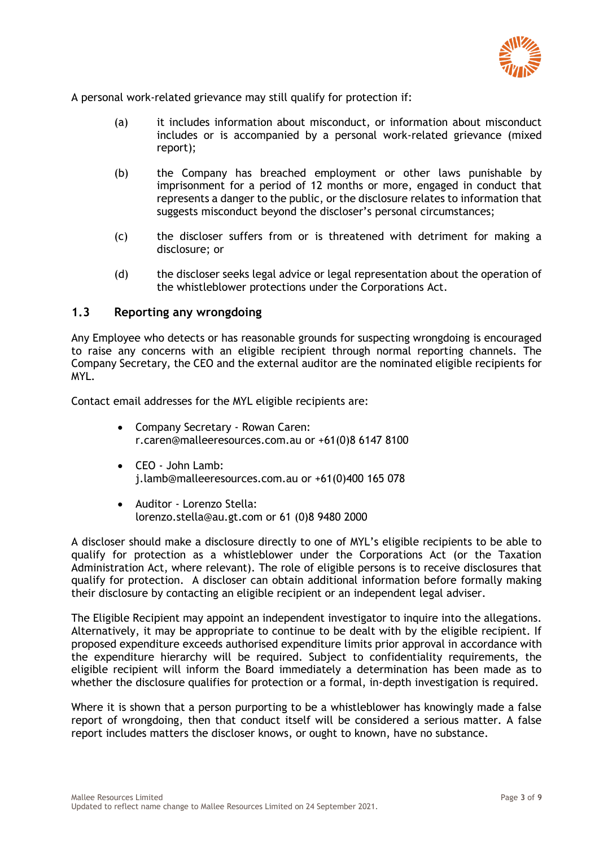

A personal work-related grievance may still qualify for protection if:

- (a) it includes information about misconduct, or information about misconduct includes or is accompanied by a personal work-related grievance (mixed report);
- (b) the Company has breached employment or other laws punishable by imprisonment for a period of 12 months or more, engaged in conduct that represents a danger to the public, or the disclosure relates to information that suggests misconduct beyond the discloser's personal circumstances;
- (c) the discloser suffers from or is threatened with detriment for making a disclosure; or
- (d) the discloser seeks legal advice or legal representation about the operation of the whistleblower protections under the Corporations Act.

## **1.3 Reporting any wrongdoing**

Any Employee who detects or has reasonable grounds for suspecting wrongdoing is encouraged to raise any concerns with an eligible recipient through normal reporting channels. The Company Secretary, the CEO and the external auditor are the nominated eligible recipients for MYL.

Contact email addresses for the MYL eligible recipients are:

- Company Secretary Rowan Caren: r.caren@malleeresources.com.au or +61(0)8 6147 8100
- CEO John Lamb: j.lamb@malleeresources.com.au or +61(0)400 165 078
- Auditor Lorenzo Stella: lorenzo.stella@au.gt.com or 61 (0)8 9480 2000

A discloser should make a disclosure directly to one of MYL's eligible recipients to be able to qualify for protection as a whistleblower under the Corporations Act (or the Taxation Administration Act, where relevant). The role of eligible persons is to receive disclosures that qualify for protection. A discloser can obtain additional information before formally making their disclosure by contacting an eligible recipient or an independent legal adviser.

The Eligible Recipient may appoint an independent investigator to inquire into the allegations. Alternatively, it may be appropriate to continue to be dealt with by the eligible recipient. If proposed expenditure exceeds authorised expenditure limits prior approval in accordance with the expenditure hierarchy will be required. Subject to confidentiality requirements, the eligible recipient will inform the Board immediately a determination has been made as to whether the disclosure qualifies for protection or a formal, in-depth investigation is required.

Where it is shown that a person purporting to be a whistleblower has knowingly made a false report of wrongdoing, then that conduct itself will be considered a serious matter. A false report includes matters the discloser knows, or ought to known, have no substance.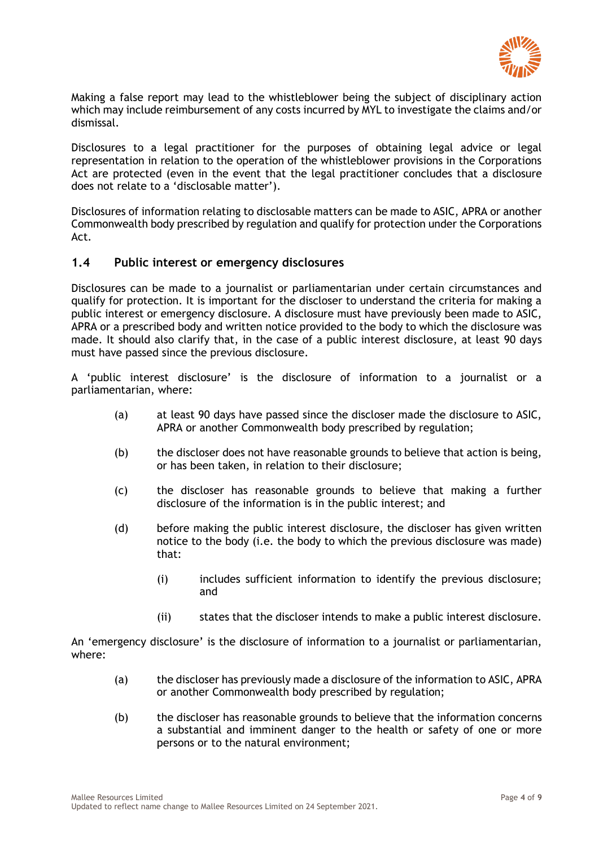

Making a false report may lead to the whistleblower being the subject of disciplinary action which may include reimbursement of any costs incurred by MYL to investigate the claims and/or dismissal.

Disclosures to a legal practitioner for the purposes of obtaining legal advice or legal representation in relation to the operation of the whistleblower provisions in the Corporations Act are protected (even in the event that the legal practitioner concludes that a disclosure does not relate to a 'disclosable matter').

Disclosures of information relating to disclosable matters can be made to ASIC, APRA or another Commonwealth body prescribed by regulation and qualify for protection under the Corporations Act.

## **1.4 Public interest or emergency disclosures**

Disclosures can be made to a journalist or parliamentarian under certain circumstances and qualify for protection. It is important for the discloser to understand the criteria for making a public interest or emergency disclosure. A disclosure must have previously been made to ASIC, APRA or a prescribed body and written notice provided to the body to which the disclosure was made. It should also clarify that, in the case of a public interest disclosure, at least 90 days must have passed since the previous disclosure.

A 'public interest disclosure' is the disclosure of information to a journalist or a parliamentarian, where:

- (a) at least 90 days have passed since the discloser made the disclosure to ASIC, APRA or another Commonwealth body prescribed by regulation;
- (b) the discloser does not have reasonable grounds to believe that action is being, or has been taken, in relation to their disclosure;
- (c) the discloser has reasonable grounds to believe that making a further disclosure of the information is in the public interest; and
- (d) before making the public interest disclosure, the discloser has given written notice to the body (i.e. the body to which the previous disclosure was made) that:
	- (i) includes sufficient information to identify the previous disclosure; and
	- (ii) states that the discloser intends to make a public interest disclosure.

An 'emergency disclosure' is the disclosure of information to a journalist or parliamentarian, where:

- (a) the discloser has previously made a disclosure of the information to ASIC, APRA or another Commonwealth body prescribed by regulation;
- (b) the discloser has reasonable grounds to believe that the information concerns a substantial and imminent danger to the health or safety of one or more persons or to the natural environment;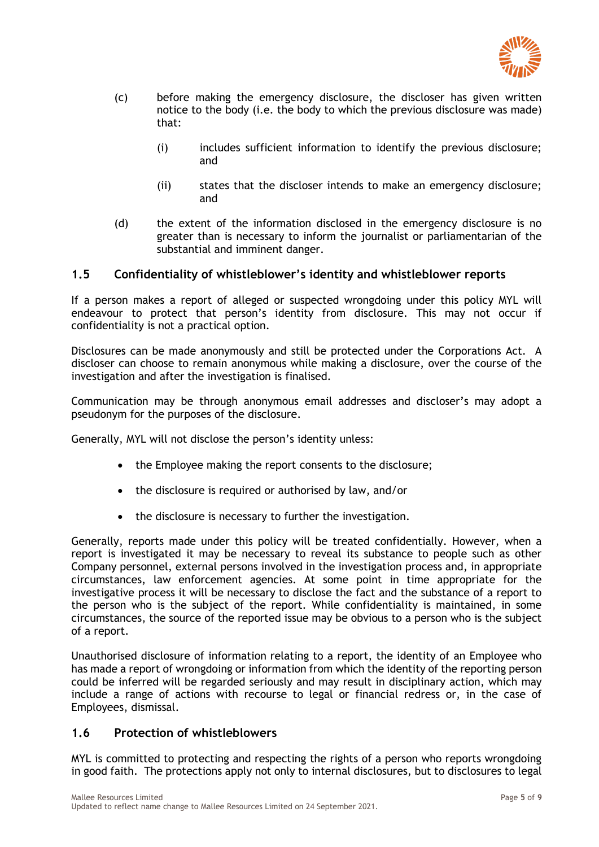

- (c) before making the emergency disclosure, the discloser has given written notice to the body (i.e. the body to which the previous disclosure was made) that:
	- (i) includes sufficient information to identify the previous disclosure; and
	- (ii) states that the discloser intends to make an emergency disclosure; and
- (d) the extent of the information disclosed in the emergency disclosure is no greater than is necessary to inform the journalist or parliamentarian of the substantial and imminent danger.

# **1.5 Confidentiality of whistleblower's identity and whistleblower reports**

If a person makes a report of alleged or suspected wrongdoing under this policy MYL will endeavour to protect that person's identity from disclosure. This may not occur if confidentiality is not a practical option.

Disclosures can be made anonymously and still be protected under the Corporations Act. A discloser can choose to remain anonymous while making a disclosure, over the course of the investigation and after the investigation is finalised.

Communication may be through anonymous email addresses and discloser's may adopt a pseudonym for the purposes of the disclosure.

Generally, MYL will not disclose the person's identity unless:

- the Employee making the report consents to the disclosure;
- the disclosure is required or authorised by law, and/or
- the disclosure is necessary to further the investigation.

Generally, reports made under this policy will be treated confidentially. However, when a report is investigated it may be necessary to reveal its substance to people such as other Company personnel, external persons involved in the investigation process and, in appropriate circumstances, law enforcement agencies. At some point in time appropriate for the investigative process it will be necessary to disclose the fact and the substance of a report to the person who is the subject of the report. While confidentiality is maintained, in some circumstances, the source of the reported issue may be obvious to a person who is the subject of a report.

Unauthorised disclosure of information relating to a report, the identity of an Employee who has made a report of wrongdoing or information from which the identity of the reporting person could be inferred will be regarded seriously and may result in disciplinary action, which may include a range of actions with recourse to legal or financial redress or, in the case of Employees, dismissal.

## **1.6 Protection of whistleblowers**

MYL is committed to protecting and respecting the rights of a person who reports wrongdoing in good faith. The protections apply not only to internal disclosures, but to disclosures to legal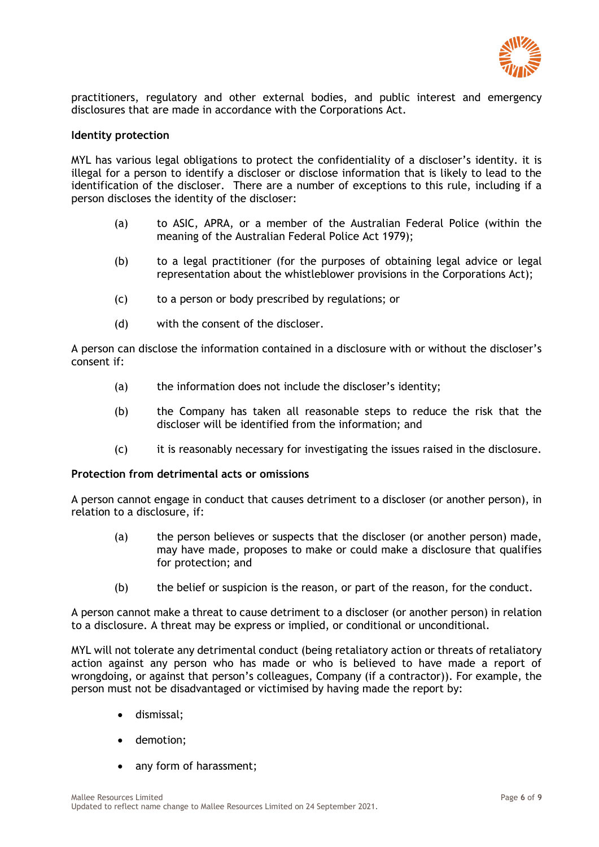

practitioners, regulatory and other external bodies, and public interest and emergency disclosures that are made in accordance with the Corporations Act.

#### **Identity protection**

MYL has various legal obligations to protect the confidentiality of a discloser's identity. it is illegal for a person to identify a discloser or disclose information that is likely to lead to the identification of the discloser. There are a number of exceptions to this rule, including if a person discloses the identity of the discloser:

- (a) to ASIC, APRA, or a member of the Australian Federal Police (within the meaning of the Australian Federal Police Act 1979);
- (b) to a legal practitioner (for the purposes of obtaining legal advice or legal representation about the whistleblower provisions in the Corporations Act);
- (c) to a person or body prescribed by regulations; or
- (d) with the consent of the discloser.

A person can disclose the information contained in a disclosure with or without the discloser's consent if:

- (a) the information does not include the discloser's identity;
- (b) the Company has taken all reasonable steps to reduce the risk that the discloser will be identified from the information; and
- (c) it is reasonably necessary for investigating the issues raised in the disclosure.

#### **Protection from detrimental acts or omissions**

A person cannot engage in conduct that causes detriment to a discloser (or another person), in relation to a disclosure, if:

- (a) the person believes or suspects that the discloser (or another person) made, may have made, proposes to make or could make a disclosure that qualifies for protection; and
- (b) the belief or suspicion is the reason, or part of the reason, for the conduct.

A person cannot make a threat to cause detriment to a discloser (or another person) in relation to a disclosure. A threat may be express or implied, or conditional or unconditional.

MYL will not tolerate any detrimental conduct (being retaliatory action or threats of retaliatory action against any person who has made or who is believed to have made a report of wrongdoing, or against that person's colleagues, Company (if a contractor)). For example, the person must not be disadvantaged or victimised by having made the report by:

- dismissal;
- demotion;
- any form of harassment;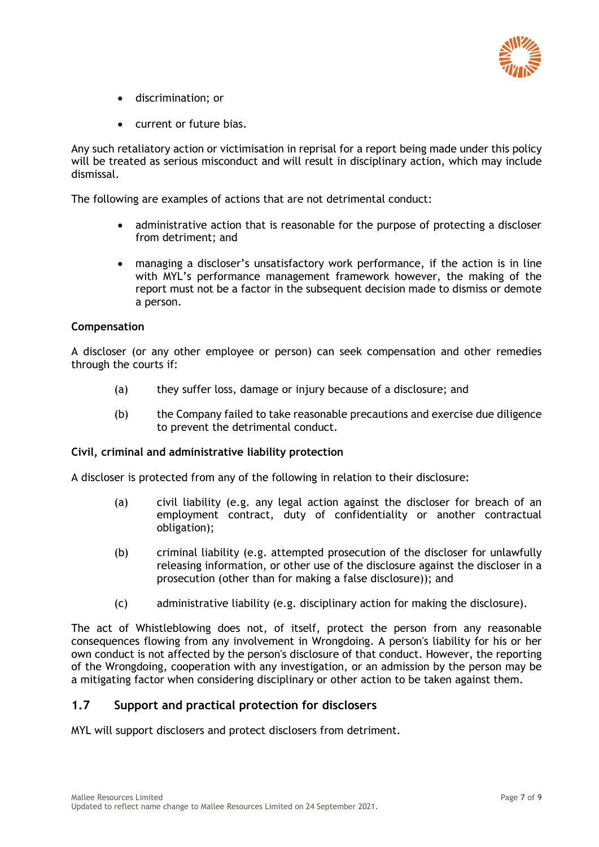

- discrimination; or
- current or future bias.

Any such retaliatory action or victimisation in reprisal for a report being made under this policy will be treated as serious misconduct and will result in disciplinary action, which may include dismissal.

The following are examples of actions that are not detrimental conduct:

- administrative action that is reasonable for the purpose of protecting a discloser from detriment; and
- managing a discloser's unsatisfactory work performance, if the action is in line with MYL's performance management framework however, the making of the report must not be a factor in the subsequent decision made to dismiss or demote a person.

#### **Compensation**

A discloser (or any other employee or person) can seek compensation and other remedies through the courts if:

- (a) they suffer loss, damage or injury because of a disclosure; and
- (b) the Company failed to take reasonable precautions and exercise due diligence to prevent the detrimental conduct.

#### **Civil, criminal and administrative liability protection**

A discloser is protected from any of the following in relation to their disclosure:

- (a) civil liability (e.g. any legal action against the discloser for breach of an employment contract, duty of confidentiality or another contractual obligation);
- (b) criminal liability (e.g. attempted prosecution of the discloser for unlawfully releasing information, or other use of the disclosure against the discloser in a prosecution (other than for making a false disclosure)); and
- (c) administrative liability (e.g. disciplinary action for making the disclosure).

The act of Whistleblowing does not, of itself, protect the person from any reasonable consequences flowing from any involvement in Wrongdoing. A person's liability for his or her own conduct is not affected by the person's disclosure of that conduct. However, the reporting of the Wrongdoing, cooperation with any investigation, or an admission by the person may be a mitigating factor when considering disciplinary or other action to be taken against them.

## **1.7 Support and practical protection for disclosers**

MYL will support disclosers and protect disclosers from detriment.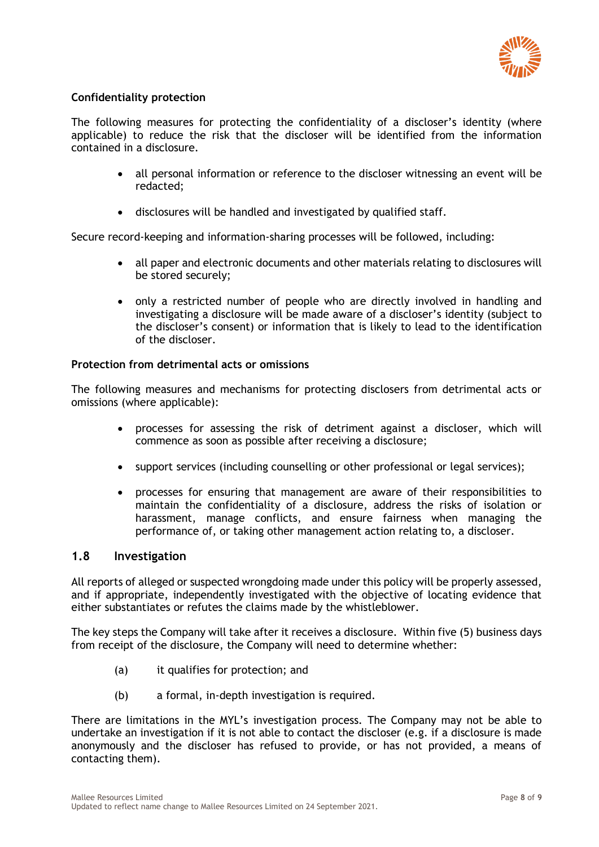

# **Confidentiality protection**

The following measures for protecting the confidentiality of a discloser's identity (where applicable) to reduce the risk that the discloser will be identified from the information contained in a disclosure.

- all personal information or reference to the discloser witnessing an event will be redacted;
- disclosures will be handled and investigated by qualified staff.

Secure record-keeping and information-sharing processes will be followed, including:

- all paper and electronic documents and other materials relating to disclosures will be stored securely;
- only a restricted number of people who are directly involved in handling and investigating a disclosure will be made aware of a discloser's identity (subject to the discloser's consent) or information that is likely to lead to the identification of the discloser.

## **Protection from detrimental acts or omissions**

The following measures and mechanisms for protecting disclosers from detrimental acts or omissions (where applicable):

- processes for assessing the risk of detriment against a discloser, which will commence as soon as possible after receiving a disclosure;
- support services (including counselling or other professional or legal services);
- processes for ensuring that management are aware of their responsibilities to maintain the confidentiality of a disclosure, address the risks of isolation or harassment, manage conflicts, and ensure fairness when managing the performance of, or taking other management action relating to, a discloser.

# **1.8 Investigation**

All reports of alleged or suspected wrongdoing made under this policy will be properly assessed, and if appropriate, independently investigated with the objective of locating evidence that either substantiates or refutes the claims made by the whistleblower.

The key steps the Company will take after it receives a disclosure. Within five (5) business days from receipt of the disclosure, the Company will need to determine whether:

- (a) it qualifies for protection; and
- (b) a formal, in-depth investigation is required.

There are limitations in the MYL's investigation process. The Company may not be able to undertake an investigation if it is not able to contact the discloser (e.g. if a disclosure is made anonymously and the discloser has refused to provide, or has not provided, a means of contacting them).